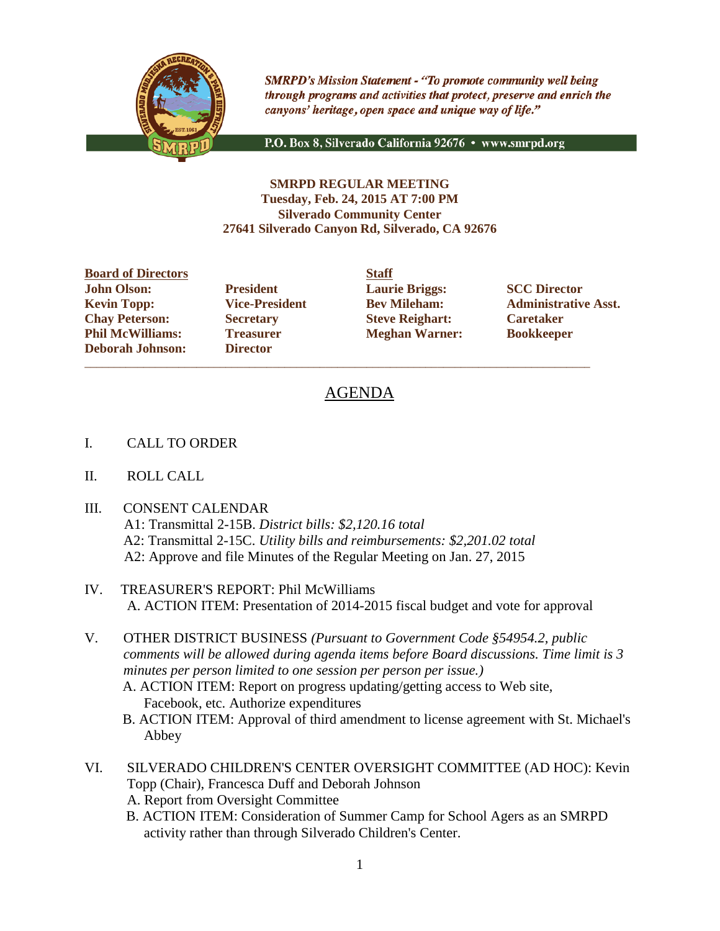

**SMRPD's Mission Statement - "To promote community well being** through programs and activities that protect, preserve and enrich the canyons' heritage, open space and unique way of life."

P.O. Box 8, Silverado California 92676 · www.smrpd.org

## **SMRPD REGULAR MEETING Tuesday, Feb. 24, 2015 AT 7:00 PM Silverado Community Center 27641 Silverado Canyon Rd, Silverado, CA 92676**

**Board of Directors Staff John Olson: President Laurie Briggs: SCC Director Chay Peterson: Secretary Steve Reighart: Caretaker Phil McWilliams: Treasurer Meghan Warner: Bookkeeper Deborah Johnson: Director**

\_\_\_\_\_\_\_\_\_\_\_\_\_\_\_\_\_\_\_\_\_\_\_\_\_\_\_\_\_\_\_\_\_\_\_\_\_\_\_\_\_\_\_\_\_\_\_\_\_\_\_\_\_\_\_\_\_\_\_\_\_\_\_\_\_\_\_\_\_\_\_\_\_\_\_\_\_\_\_\_\_\_\_\_\_\_

**Kevin Topp: Vice-President Bev Mileham: Administrative Asst.**

# AGENDA

- I. CALL TO ORDER
- II. ROLL CALL
- III. CONSENT CALENDAR
	- A1: Transmittal 2-15B. *District bills: \$2,120.16 total* A2: Transmittal 2-15C. *Utility bills and reimbursements: \$2,201.02 total* A2: Approve and file Minutes of the Regular Meeting on Jan. 27, 2015
- IV. TREASURER'S REPORT: Phil McWilliams A. ACTION ITEM: Presentation of 2014-2015 fiscal budget and vote for approval
- V. OTHER DISTRICT BUSINESS *(Pursuant to Government Code §54954.2, public comments will be allowed during agenda items before Board discussions. Time limit is 3 minutes per person limited to one session per person per issue.)*
	- A. ACTION ITEM: Report on progress updating/getting access to Web site, Facebook, etc. Authorize expenditures
	- B. ACTION ITEM: Approval of third amendment to license agreement with St. Michael's Abbey
- VI. SILVERADO CHILDREN'S CENTER OVERSIGHT COMMITTEE (AD HOC): Kevin Topp (Chair), Francesca Duff and Deborah Johnson
	- A. Report from Oversight Committee
	- B. ACTION ITEM: Consideration of Summer Camp for School Agers as an SMRPD activity rather than through Silverado Children's Center.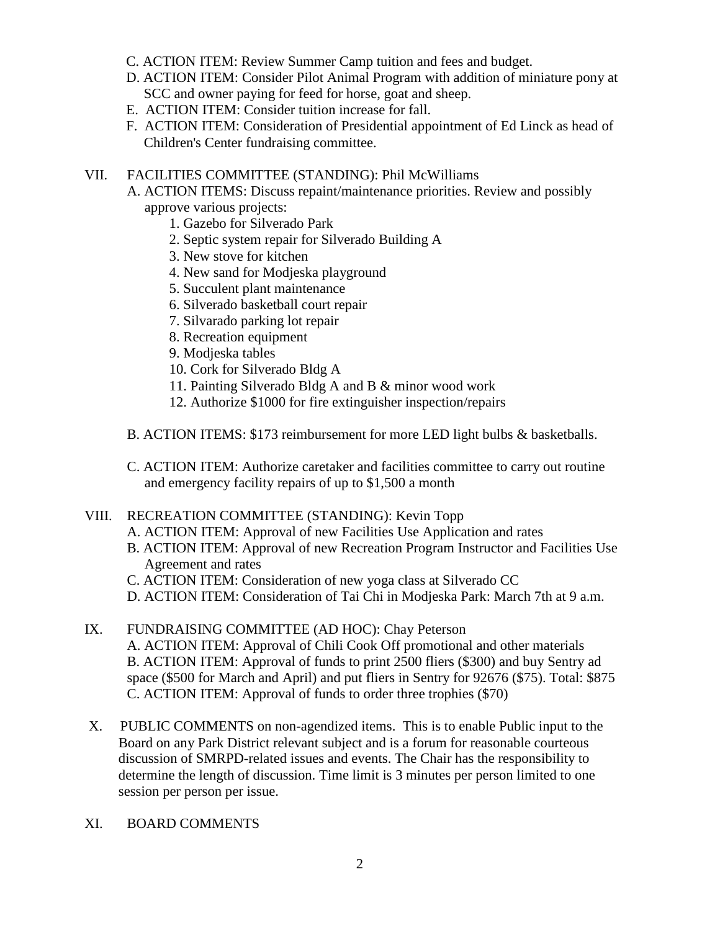- C. ACTION ITEM: Review Summer Camp tuition and fees and budget.
- D. ACTION ITEM: Consider Pilot Animal Program with addition of miniature pony at SCC and owner paying for feed for horse, goat and sheep.
- E. ACTION ITEM: Consider tuition increase for fall.
- F. ACTION ITEM: Consideration of Presidential appointment of Ed Linck as head of Children's Center fundraising committee.

## VII. FACILITIES COMMITTEE (STANDING): Phil McWilliams

- A. ACTION ITEMS: Discuss repaint/maintenance priorities. Review and possibly approve various projects:
	- 1. Gazebo for Silverado Park
	- 2. Septic system repair for Silverado Building A
	- 3. New stove for kitchen
	- 4. New sand for Modjeska playground
	- 5. Succulent plant maintenance
	- 6. Silverado basketball court repair
	- 7. Silvarado parking lot repair
	- 8. Recreation equipment
	- 9. Modjeska tables
	- 10. Cork for Silverado Bldg A
	- 11. Painting Silverado Bldg A and B & minor wood work
	- 12. Authorize \$1000 for fire extinguisher inspection/repairs
- B. ACTION ITEMS: \$173 reimbursement for more LED light bulbs & basketballs.
- C. ACTION ITEM: Authorize caretaker and facilities committee to carry out routine and emergency facility repairs of up to \$1,500 a month

#### VIII. RECREATION COMMITTEE (STANDING): Kevin Topp

- A. ACTION ITEM: Approval of new Facilities Use Application and rates
- B. ACTION ITEM: Approval of new Recreation Program Instructor and Facilities Use Agreement and rates
- C. ACTION ITEM: Consideration of new yoga class at Silverado CC
- D. ACTION ITEM: Consideration of Tai Chi in Modjeska Park: March 7th at 9 a.m.
- IX. FUNDRAISING COMMITTEE (AD HOC): Chay Peterson A. ACTION ITEM: Approval of Chili Cook Off promotional and other materials B. ACTION ITEM: Approval of funds to print 2500 fliers (\$300) and buy Sentry ad space (\$500 for March and April) and put fliers in Sentry for 92676 (\$75). Total: \$875 C. ACTION ITEM: Approval of funds to order three trophies (\$70)
- X. PUBLIC COMMENTS on non-agendized items. This is to enable Public input to the Board on any Park District relevant subject and is a forum for reasonable courteous discussion of SMRPD-related issues and events. The Chair has the responsibility to determine the length of discussion. Time limit is 3 minutes per person limited to one session per person per issue.
- XI. BOARD COMMENTS